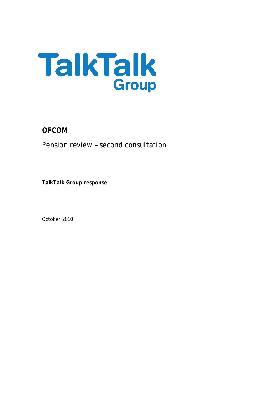

**OFCOM**

Pension review – second consultation

**TalkTalk Group response**

October 2010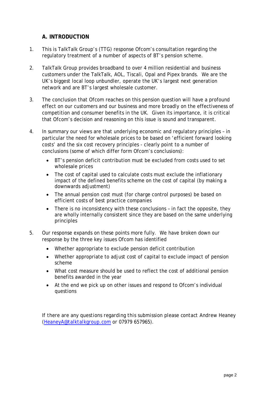# **A. INTRODUCTION**

- 1. This is TalkTalk Group's (TTG) response Ofcom's consultation regarding the regulatory treatment of a number of aspects of BT's pension scheme.
- 2. TalkTalk Group provides broadband to over 4 million residential and business customers under the TalkTalk, AOL, Tiscali, Opal and Pipex brands. We are the UK's biggest local loop unbundler, operate the UK's largest next generation network and are BT's largest wholesale customer.
- 3. The conclusion that Ofcom reaches on this pension question will have a profound effect on our customers and our business and more broadly on the effectiveness of competition and consumer benefits in the UK. Given its importance, it is critical that Ofcom's decision and reasoning on this issue is sound and transparent.
- 4. In summary our views are that underlying economic and regulatory principles in particular the need for wholesale prices to be based on 'efficient forward looking costs' and the six cost recovery principles - clearly point to a number of conclusions (some of which differ form Ofcom's conclusions):
	- BT's pension deficit contribution must be excluded from costs used to set wholesale prices
	- The cost of capital used to calculate costs must exclude the inflationary impact of the defined benefits scheme on the cost of capital (by making a downwards adjustment)
	- The annual pension cost must (for charge control purposes) be based on efficient costs of best practice companies
	- There is no inconsistency with these conclusions in fact the opposite, they are wholly internally consistent since they are based on the same underlying principles
- 5. Our response expands on these points more fully. We have broken down our response by the three key issues Ofcom has identified
	- Whether appropriate to exclude pension deficit contribution
	- Whether appropriate to adjust cost of capital to exclude impact of pension scheme
	- What cost measure should be used to reflect the cost of additional pension benefits awarded in the year
	- At the end we pick up on other issues and respond to Ofcom's individual questions

*If there are any questions regarding this submission please contact Andrew Heaney [\(HeaneyA@talktalkgroup.com](mailto:HeaneyA@talktalkgroup.com) or 07979 657965).*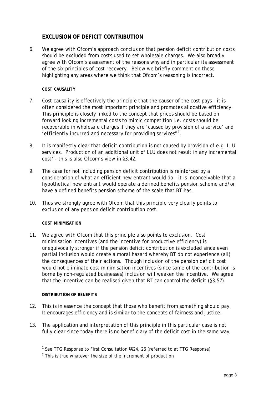# **EXCLUSION OF DEFICIT CONTRIBUTION**

6. We agree with Ofcom's approach conclusion that pension deficit contribution costs should be excluded from costs used to set wholesale charges. We also broadly agree with Ofcom's assessment of the reasons why and in particular its assessment of the six principles of cost recovery. Below we briefly comment on these highlighting any areas where we think that Ofcom's reasoning is incorrect.

## *COST CAUSALITY*

- 7. Cost causality is effectively the principle that the causer of the cost pays it is often considered the most important principle and promotes allocative efficiency. This principle is closely linked to the concept that prices should be based on forward looking incremental costs to mimic competition i.e. costs should be recoverable in wholesale charges if they are *'caused by provision of a service'* and *'efficiently incurred and necessary for providing services*"[1](#page-2-0) .
- 8. It is manifestly clear that deficit contribution is not caused by provision of e.g. LLU services. Production of an additional unit of LLU does not result in any incremental  $\cot^2$  $\cot^2$  - this is also Ofcom's view in §3.42.
- 9. The case for not including pension deficit contribution is reinforced by a consideration of what an efficient new entrant would do – it is inconceivable that a hypothetical new entrant would operate a defined benefits pension scheme and/or have a defined benefits pension scheme of the scale that BT has.
- 10. Thus we strongly agree with Ofcom that this principle very clearly points to exclusion of any pension deficit contribution cost.

## *COST MINIMISATION*

11. We agree with Ofcom that this principle also points to exclusion. Cost minimisation incentives (and the incentive for productive efficiency) is unequivocally stronger if the pension deficit contribution is excluded since even partial inclusion would create a moral hazard whereby BT do not experience (all) the consequences of their actions. Though inclusion of the pension deficit cost would not eliminate cost minimisation incentives (since some of the contribution is borne by non-regulated businesses) inclusion will weaken the incentive. We agree that the incentive can be realised given that BT can control the deficit (§3.57).

## *DISTRIBUTION OF BENEFITS*

- 12. This is in essence the concept that those who benefit from something should pay. It encourages efficiency and is similar to the concepts of fairness and justice.
- <span id="page-2-0"></span>13. The application and interpretation of this principle in this particular case is not fully clear since today there is no beneficiary of the deficit cost in the same way,

<sup>&</sup>lt;sup>1</sup> See TTG Response to First Consultation §§24, 26 (referred to at TTG Response)

<span id="page-2-1"></span> $2$  This is true whatever the size of the increment of production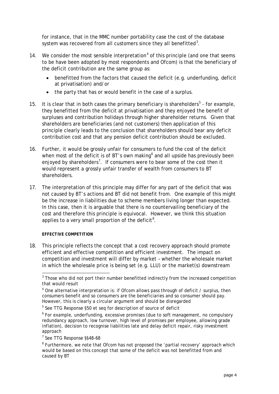for instance, that in the MMC number portability case the cost of the database system was recovered from all customers since they all benefitted $^3\!\!$  $^3\!\!$  $^3\!\!$  .

- 1[4](#page-3-1). We consider the most sensible interpretation<sup>4</sup> of this principle (and one that seems to be have been adopted by most respondents and Ofcom) is that the beneficiary of the deficit contribution are the same group as:
	- benefitted from the factors that caused the deficit (e.g. underfunding, deficit at privatisation) and/or
	- the party that has or would benefit in the case of a surplus.
- 1[5](#page-3-2). It is clear that in both cases the primary beneficiary is shareholders<sup>5</sup> for example, they benefitted from the deficit at privatisation and they enjoyed the benefit of surpluses and contribution holidays through higher shareholder returns. Given that shareholders are beneficiaries (and not customers) then application of this principle clearly leads to the conclusion that shareholders should bear any deficit contribution cost and that any pension deficit contribution should be excluded.
- 16. Further, it would be grossly unfair for consumers to fund the cost of the deficit when most of the deficit is of BT's own making $^6$  $^6$  and all upside has previously been enjoyed by shareholders<sup>[7](#page-3-4)</sup>. If consumers were to bear some of the cost then it would represent a grossly unfair transfer of wealth from consumers to BT shareholders.
- 17. The interpretation of this principle may differ for any part of the deficit that was not caused by BT's actions and BT did not benefit from. One example of this might be the increase in liabilities due to scheme members living longer than expected. In this case, then it is arguable that there is no countervailing beneficiary of the cost and therefore this principle is equivocal. However, we think this situation applies to a very small proportion of the deficit<sup>[8](#page-3-5)</sup>.

## *EFFECTIVE COMPETITION*

18. This principle reflects the concept that a cost recovery approach should promote efficient and effective competition and efficient investment. The impact on competition and investment will differ by market – whether the wholesale market in which the wholesale price is being set (e.g. LLU) or the market(s) downstream

<span id="page-3-0"></span> $3$  Those who did not port their number benefitted indirectly from the increased competition that would result

<span id="page-3-1"></span><sup>&</sup>lt;sup>4</sup> One alternative interpretation is: if Ofcom allows pass through of deficit / surplus, then consumers benefit and so consumers are the beneficiaries and so consumer should pay. However, this is clearly a circular argument and should be disregarded

<span id="page-3-2"></span><sup>5</sup> See TTG Response §50 *et seq* for description of source of deficit

<span id="page-3-3"></span> $6$  For example, underfunding, excessive promises (due to soft management, no compulsory redundancy approach, low turnover, high level of promises per employee, allowing grade inflation), decision to recognise liabilities late and delay deficit repair, risky investment approach

<span id="page-3-4"></span><sup>7</sup> See TTG Response §§48-68

<span id="page-3-5"></span><sup>&</sup>lt;sup>8</sup> Furthermore, we note that Ofcom has not proposed the 'partial recovery' approach which would be based on this concept that some of the deficit was not benefitted from and caused by BT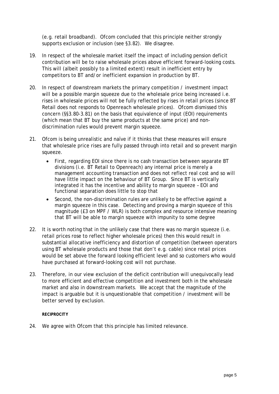(e.g. retail broadband). Ofcom concluded that this principle neither strongly supports exclusion or inclusion (see §3.82). We disagree.

- 19. In respect of the wholesale market itself the impact of including pension deficit contribution will be to raise wholesale prices above efficient forward-looking costs. This will (albeit possibly to a limited extent) result in inefficient entry by competitors to BT and/or inefficient expansion in production by BT.
- 20. In respect of downstream markets the primary competition / investment impact will be a possible margin squeeze due to the wholesale price being increased i.e. rises in wholesale prices will not be fully reflected by rises in retail prices (since BT Retail does not responds to Openreach wholesale prices). Ofcom dismissed this concern (§§3.80-3.81) on the basis that equivalence of input (EOI) requirements (which mean that BT buy the same products at the same price) and nondiscrimination rules would prevent margin squeeze.
- 21. Ofcom is being unrealistic and naïve if it thinks that these measures will ensure that wholesale price rises are fully passed through into retail and so prevent margin squeeze.
	- First, regarding EOI since there is no cash transaction between separate BT divisions (i.e. BT Retail to Openreach) any internal price is merely a management accounting transaction and does not reflect real cost and so will have little impact on the behaviour of BT Group. Since BT is vertically integrated it has the incentive and ability to margin squeeze – EOI and functional separation does little to stop that
	- Second, the non-discrimination rules are unlikely to be effective against a margin squeeze in this case. Detecting and proving a margin squeeze of this magnitude (£3 on MPF / WLR) is both complex and resource intensive meaning that BT will be able to margin squeeze with impunity to some degree
- 22. It is worth noting that in the unlikely case that there was no margin squeeze (i.e. retail prices rose to reflect higher wholesale prices) then this would result in substantial allocative inefficiency and distortion of competition (between operators using BT wholesale products and those that don't e.g. cable) since retail prices would be set above the forward looking efficient level and so customers who would have purchased at forward-looking cost will not purchase.
- 23. Therefore, in our view exclusion of the deficit contribution will unequivocally lead to more efficient and effective competition and investment both in the wholesale market and also in downstream markets. We accept that the magnitude of the impact is arguable but it is unquestionable that competition / investment will be better served by exclusion.

#### *RECIPROCITY*

24. We agree with Ofcom that this principle has limited relevance.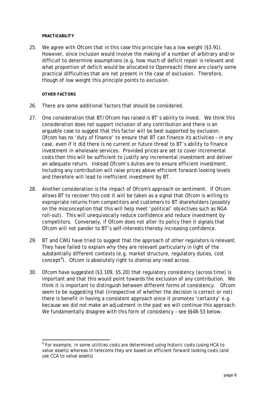#### *PRACTICABILITY*

25. We agree with Ofcom that in this case this principle has a low weight (§3.91). However, since inclusion would involve the making of a number of arbitrary and/or difficult to determine assumptions (e.g. how much of deficit repair is relevant and what proportion of deficit would be allocated to Openreach) there are clearly some practical difficulties that are not present in the case of exclusion. Therefore, though of low weight this principle points to exclusion.

#### *OTHER FACTORS*

- 26. There are some additional factors that should be considered.
- 27. One consideration that BT/Ofcom has raised is BT's ability to invest. We think this consideration does not support inclusion of any contribution and there is an arguable case to suggest that this factor will be best supported by exclusion. Ofcom has no 'duty of finance' to ensure that BT can finance its activities – in any case, even if it did there is no current or future threat to BT's ability to finance investment in wholesale services. Provided prices are set to cover incremental costs then this will be sufficient to justify any incremental investment and deliver an adequate return. Instead Ofcom's duties are to ensure efficient investment. Including any contribution will raise prices above efficient forward-looking levels and therefore will lead to inefficient investment by BT.
- 28. Another consideration is the impact of Ofcom's approach on sentiment. If Ofcom allows BT to recover this cost it will be taken as a signal that Ofcom is willing to expropriate returns from competitors and customers to BT shareholders (possibly on the misconception that this will help meet 'political' objectives such as NGA roll-out). This will unequivocally reduce confidence and reduce investment by competitors. Conversely, if Ofcom does not alter its policy then it signals that Ofcom will not pander to BT's self-interests thereby increasing confidence.
- 29. BT and CWU have tried to suggest that the approach of other regulators is relevant. They have failed to explain why they are relevant particularly in light of the substantially different contexts (e.g. market structure, regulatory duties, cost  $concept<sup>9</sup>$  $concept<sup>9</sup>$  $concept<sup>9</sup>$ . Ofcom is absolutely right to dismiss any read across.
- 30. Ofcom have suggested (§3.109, §5.20) that regulatory consistency (across time) is important and that this would point towards the exclusion of any contribution. We think it is important to distinguish between different forms of consistency. Ofcom seem to be suggesting that (irrespective of whether the decision is correct or not) there is benefit in having a consistent approach since it promotes 'certainty' e.g. because we did not make an adjustment in the past we will continue this approach. We fundamentally disagree with this form of consistency - see §§48-53 below.

<span id="page-5-0"></span><sup>&</sup>lt;sup>9</sup> For example, in some utilities costs are determined using historic costs (using HCA to value assets) whereas in telecoms they are based on efficient forward looking costs (and use CCA to value assets)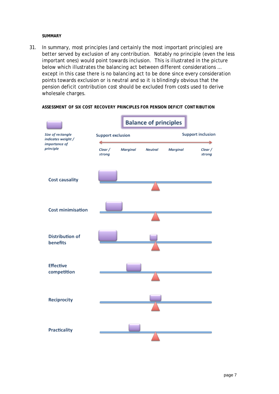#### *SUMMARY*

31. In summary, most principles (and certainly the most important principles) are better served by exclusion of any contribution. Notably no principle (even the less important ones) would point towards inclusion. This is illustrated in the picture below which illustrates the balancing act between different considerations … except in this case there is no balancing act to be done since every consideration points towards exclusion or is neutral and so it is blindingly obvious that the pension deficit contribution cost should be excluded from costs used to derive wholesale charges.



*ASSESSMENT OF SIX COST RECOVERY PRINCIPLES FOR PENSION DEFICIT CONTRIBUTION*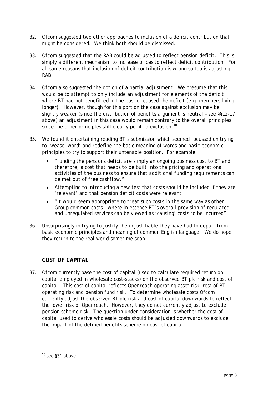- 32. Ofcom suggested two other approaches to inclusion of a deficit contribution that might be considered. We think both should be dismissed.
- 33. Ofcom suggested that the RAB could be adjusted to reflect pension deficit. This is simply a different mechanism to increase prices to reflect deficit contribution. For all same reasons that inclusion of deficit contribution is wrong so too is adjusting RAB.
- 34. Ofcom also suggested the option of a partial adjustment. We presume that this would be to attempt to only include an adjustment for elements of the deficit where BT had not benefitted in the past or caused the deficit (e.g. members living longer). However, though for this portion the case against exclusion may be slightly weaker (since the distribution of benefits argument is neutral – see §§12-17 above) an adjustment in this case would remain contrary to the overall principles since the other principles still clearly point to exclusion. <sup>[10](#page-7-0)</sup>
- 35. We found it entertaining reading BT's submission which seemed focussed on trying to 'weasel word' and redefine the basic meaning of words and basic economic principles to try to support their untenable position. For example:
	- "*funding the pensions deficit are simply an ongoing business cost to BT and, therefore, a cost that needs to be built into the pricing and operational activities of the business to ensure that additional funding requirements can be met out of free cashflow*."
	- Attempting to introducing a new test that costs should be included if they are 'relevant' and that pension deficit costs were relevant
	- "*it would seem appropriate to treat such costs in the same way as other Group common costs – where in essence BT's overall provision of regulated and unregulated services can be viewed as 'causing' costs to be incurred*"
- 36. Unsurprisingly in trying to justify the unjustifiable they have had to depart from basic economic principles and meaning of common English language. We do hope they return to the real world sometime soon.

# **COST OF CAPITAL**

37. Ofcom currently base the cost of capital (used to calculate required return on capital employed in wholesale cost-stacks) on the observed BT plc risk and cost of capital. This cost of capital reflects Openreach operating asset risk, rest of BT operating risk and pension fund risk. To determine wholesale costs Ofcom currently adjust the observed BT plc risk and cost of capital downwards to reflect the lower risk of Openreach. However, they do not currently adjust to exclude pension scheme risk. The question under consideration is whether the cost of capital used to derive wholesale costs should be adjusted downwards to exclude the impact of the defined benefits scheme on cost of capital.

<span id="page-7-0"></span> $10$  see §31 above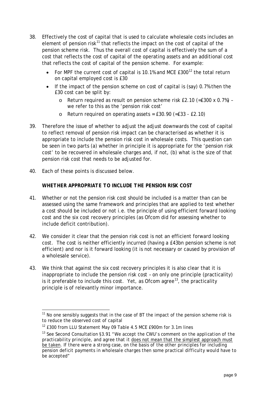- 38. Effectively the cost of capital that is used to calculate wholesale costs includes an element of pension risk<sup>[11](#page-8-0)</sup> that reflects the impact on the cost of capital of the pension scheme risk. Thus the overall cost of capital is effectively the sum of a cost that reflects the cost of capital of the operating assets and an additional cost that reflects the cost of capital of the pension scheme. For example:
	- For MPF the current cost of capital is 10.1% and MCE  $£300^{12}$  $£300^{12}$  $£300^{12}$  the total return on capital employed cost is £30
	- If the impact of the pension scheme on cost of capital is (say) 0.7% then the £30 cost can be split by:
		- o Return required as result on pension scheme risk £2.10 (=£300 x 0.7%) we refer to this as the 'pension risk cost'
		- o Return required on operating assets =  $£30.90 (=£33 £2.10)$
- 39. Therefore the issue of whether to adjust the adjust downwards the cost of capital to reflect removal of pension risk impact can be characterised as whether it is appropriate to include the pension risk cost in wholesale costs. This question can be seen in two parts (a) whether in principle it is appropriate for the 'pension risk cost' to be recovered in wholesale charges and, if not, (b) what is the size of that pension risk cost that needs to be adjusted for.
- 40. Each of these points is discussed below.

# *WHETHER APPROPRIATE TO INCLUDE THE PENSION RISK COST*

- 41. Whether or not the pension risk cost should be included is a matter than can be assessed using the same framework and principles that are applied to test whether a cost should be included or not i.e. the principle of using efficient forward looking cost and the six cost recovery principles (as Ofcom did for assessing whether to include deficit contribution).
- 42. We consider it clear that the pension risk cost is not an efficient forward looking cost. The cost is neither efficiently incurred (having a £43bn pension scheme is not efficient) and nor is it forward looking (it is not necessary or caused by provision of a wholesale service).
- 43. We think that against the six cost recovery principles it is also clear that it is inappropriate to include the pension risk cost – on only one principle (practicality) is it preferable to include this cost. Yet, as Ofcom agree<sup>[13](#page-8-0)</sup>, the practicality principle is of relevantly minor importance.

<span id="page-8-0"></span> $11$  No one sensibly suggests that in the case of BT the impact of the pension scheme risk is to reduce the observed cost of capital

<sup>&</sup>lt;sup>12</sup> £300 from LLU Statement May 09 Table 4.5 MCE £900m for 3.1m lines

<sup>&</sup>lt;sup>13</sup> See Second Consultation §3.91 "We accept the CWU's comment on the application of the *practicability principle, and agree that it does not mean that the simplest approach must be taken. If there were a strong case, on the basis of the other principles for including pension deficit payments in wholesale charges then some practical difficulty would have to be accepted*"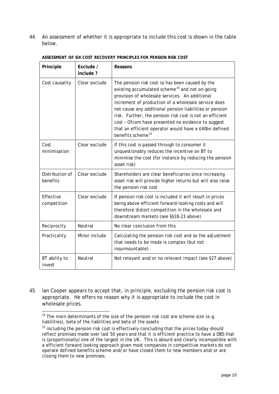44. An assessment of whether it is appropriate to include this cost is shown in the table below.

| Principle                   | Exclude /<br>include? | Reasons                                                                                                                                                                                                                                                                                                                                                                                                                                                                                       |
|-----------------------------|-----------------------|-----------------------------------------------------------------------------------------------------------------------------------------------------------------------------------------------------------------------------------------------------------------------------------------------------------------------------------------------------------------------------------------------------------------------------------------------------------------------------------------------|
| Cost causality              | Clear exclude         | The pension risk cost is/has been caused by the<br>existing accumulated scheme <sup>14</sup> and not on-going<br>provision of wholesale services. An additional<br>increment of production of a wholesale service does<br>not cause any additional pension liabilities or pension<br>risk. Further, the pension risk cost is not an efficient<br>cost - Ofcom have presented no evidence to suggest<br>that an efficient operator would have a £40bn defined<br>benefits scheme <sup>15</sup> |
| Cost<br>minimisation        | Clear exclude         | If this cost is passed through to consumer it<br>unquestionably reduces the incentive on BT to<br>minimise the cost (for instance by reducing the pension<br>asset risk)                                                                                                                                                                                                                                                                                                                      |
| Distribution of<br>benefits | Clear exclude         | Shareholders are clear beneficiaries since increasing<br>asset risk will provide higher returns but will also raise<br>the pension risk cost                                                                                                                                                                                                                                                                                                                                                  |
| Effective<br>competition    | Clear exclude         | If pension risk cost is included it will result in prices<br>being above efficient forward-looking costs and will<br>therefore distort competition in the wholesale and<br>downstream markets (see §§18-23 above)                                                                                                                                                                                                                                                                             |
| Reciprocity                 | <b>Neutral</b>        | No clear conclusion from this                                                                                                                                                                                                                                                                                                                                                                                                                                                                 |
| Practicality                | Minor include         | Calculating the pension risk cost and so the adjustment<br>that needs to be made is complex (but not<br>insurmountable)                                                                                                                                                                                                                                                                                                                                                                       |
| BT ability to<br>invest     | Neutral               | Not relevant and/or no relevant impact (see §27 above)                                                                                                                                                                                                                                                                                                                                                                                                                                        |

*ASSESSMENT OF SIX COST RECOVERY PRINCIPLES FOR PENSION RISK COST*

<span id="page-9-0"></span>45. Ian Cooper appears to accept that, in principle, excluding the pension risk cost is appropriate. He offers no reason why it is appropriate to include the cost in wholesale prices.

<sup>&</sup>lt;sup>14</sup> The main determinants of the size of the pension risk cost are scheme size (e.g. liabilities), beta of the liabilities and beta of the assets

 $15$  including the pension risk cost is effectively concluding that the prices today should reflect promises made over last 50 years and that it is efficient practice to have a DBS that is (proportionally) one of the largest in the UK. This is absurd and clearly incompatible with a efficient forward looking approach given most companies in competitive markets do not operate defined benefits scheme and/or have closed them to new members and/or are closing them to new promises.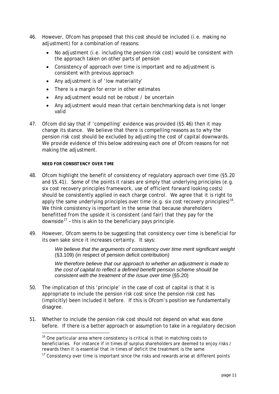- 46. However, Ofcom has proposed that this cost should be included (i.e. making no adjustment) for a combination of reasons:
	- No adjustment (i.e. including the pension risk cost) would be consistent with the approach taken on other parts of pension
	- Consistency of approach over time is important and no adjustment is consistent with previous approach
	- Any adjustment is of 'low materiality'
	- There is a margin for error in other estimates
	- Any adjustment would not be robust / be uncertain
	- Any adjustment would mean that certain benchmarking data is not longer valid
- 47. Ofcom did say that if 'compelling' evidence was provided (§5.46) then it may change its stance. We believe that there is compelling reasons as to why the pension risk cost should be excluded by adjusting the cost of capital downwards. We provide evidence of this below addressing each one of Ofcom reasons for not making the adjustment.

### *NEED FOR CONSISTENCY OVER TIME*

- 48. Ofcom highlight the benefit of consistency of regulatory approach over time (§5.20 and §5.41). Some of the points it raises are simply that underlying principles (e.g. six cost recovery principles framework, use of efficient forward looking costs) should be consistently applied in each charge control. We agree that it is right to apply the same underlying principles over time (e.g. six cost recovery principles)<sup>[16](#page-10-0)</sup>. We think consistency is important in the sense that because shareholders benefitted from the upside it is consistent (and fair) that they pay for the downside $^{17}$  $^{17}$  $^{17}$  - this is akin to the beneficiary pays principle.
- 49. However, Ofcom seems to be suggesting that consistency over time is beneficial for its own sake since it increases certainty. It says:

*We believe that the arguments of consistency over time merit significant weight* (§3.109) (in respect of pension deficit contribution)

*We therefore believe that our approach to whether an adjustment is made to the cost of capital to reflect a defined benefit pension scheme should be consistent with the treatment of the issue over time* (§5.20)

- 50. The implication of this 'principle' in the case of cost of capital is that it is appropriate to include the pension risk cost since the pension risk cost has (implicitly) been included it before. If this is Ofcom's position we fundamentally disagree.
- <span id="page-10-0"></span>51. Whether to include the pension risk cost should not depend on what was done before. If there is a better approach or assumption to take in a regulatory decision

<sup>&</sup>lt;sup>16</sup> One particular area where consistency is critical is that in matching costs to beneficiaries. For instance if in times of surplus shareholders are deemed to enjoy risks / rewards then it is essential that in times of deficit the treatment is the same

 $17$  Consistency over time is important since the risks and rewards arise at different points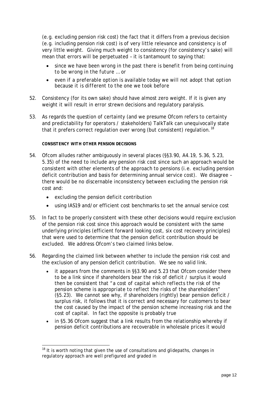(e.g. excluding pension risk cost) the fact that it differs from a previous decision (e.g. including pension risk cost) is of very little relevance and consistency is of very little weight. Giving much weight to consistency (for consistency's sake) will mean that errors will be perpetuated – it is tantamount to saying that:

- *since we have been wrong in the past there is benefit from being continuing to be wrong in the future* … or
- *even if a preferable option is available today we will not adopt that option because it is different to the one we took before*
- 52. Consistency (for its own sake) should have almost zero weight. If it is given any weight it will result in error strewn decisions and regulatory paralysis.
- 53. As regards the question of certainty (and we presume Ofcom refers to certainty and predictability for operators / stakeholders) TalkTalk can unequivocally state that it prefers correct regulation over wrong (but consistent) regulation.<sup>[18](#page-11-0)</sup>

### *CONSISTENCY WITH OTHER PENSION DECISIONS*

- 54. Ofcom alludes rather ambiguously in several places (§§3.90, A4.19, 5.36, 5.23, 5.35) of the need to include any pension risk cost since such an approach would be consistent with other elements of the approach to pensions (i.e. excluding pension deficit contribution and basis for determining annual service cost). We disagree – there would be no discernable inconsistency between excluding the pension risk cost and:
	- excluding the pension deficit contribution
	- using IAS19 and/or efficient cost benchmarks to set the annual service cost
- 55. In fact to be properly consistent with these other decisions would require exclusion of the pension risk cost since this approach would be consistent with the same underlying principles (efficient forward looking cost, six cost recovery principles) that were used to determine that the pension deficit contribution should be excluded. We address Ofcom's two claimed links below.
- 56. Regarding the claimed link between whether to include the pension risk cost and the exclusion of any pension deficit contribution. We see no valid link.
	- it appears from the comments in §§3.90 and 5.23 that Ofcom consider there to be a link since if shareholders bear the risk of deficit / surplus it would then be consistent that "*a cost of capital which reflects the risk of the pension scheme is appropriate to reflect the risks of the shareholders*"  $(S5.23)$ . We cannot see why, if shareholders (rightly) bear pension deficit / surplus risk, it follows that it is correct and necessary for customers to bear the cost caused by the impact of the pension scheme increasing risk and the cost of capital. In fact the opposite is probably true
	- in §5.36 Ofcom suggest that a link results from the relationship whereby if pension deficit contributions are recoverable in wholesale prices it would

<span id="page-11-0"></span> $18$  It is worth noting that given the use of consultations and glidepaths, changes in regulatory approach are well prefigured and graded in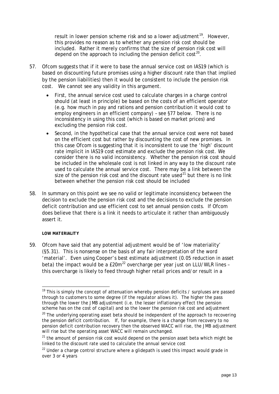result in lower pension scheme risk and so a lower adjustment<sup>19</sup>. However, this provides no reason as to *whether* any pension risk cost should be included. Rather it merely confirms that the *size* of pension risk cost will depend on the approach to including the pension deficit cost<sup>[20](#page-12-1)</sup>.

- 57. Ofcom suggests that if it were to base the annual service cost on IAS19 (which is based on discounting future promises using a higher discount rate than that implied by the pension liabilities) then it would be consistent to include the pension risk cost. We cannot see any validity in this argument.
	- First, the annual service cost used to calculate charges in a charge control should (at least in principle) be based on the costs of an efficient operator (e.g. how much in pay and rations and pension contribution it would cost to employ engineers in an efficient company) – see §77 below. There is no inconsistency in using this cost (which is based on market prices) and excluding the pension risk cost.
	- Second, in the hypothetical case that the annual service cost were not based on the efficient cost but rather by discounting the cost of new promises. In this case Ofcom is suggesting that it is inconsistent to use the 'high' discount rate implicit in IAS19 cost estimate and exclude the pension risk cost. We consider there is no valid inconsistency. Whether the pension risk cost should be included in the wholesale cost is not linked in any way to the discount rate used to calculate the annual service cost. There may be a link between the size of the pension risk cost and the discount rate used<sup>[21](#page-12-2)</sup> but there is no link between *whether* the pension risk cost should be included
- 58. In summary on this point we see no valid or legitimate inconsistency between the decision to exclude the pension risk cost and the decisions to exclude the pension deficit contribution and use efficient cost to set annual pension costs. If Ofcom does believe that there is a link it needs to articulate it rather than ambiguously assert it.

## *LOW MATERIALITY*

59. Ofcom have said that any potential adjustment would be of 'low materiality' (§5.31). This is nonsense on the basis of any fair interpretation of the word 'material'. Even using Cooper's best estimate adjustment (0.05 reduction in asset beta) the impact would be a £20m<sup>[22](#page-12-3)</sup> overcharge per year just on LLU/WLR lines this overcharge is likely to feed through higher retail prices and/or result in a

<span id="page-12-0"></span><sup>&</sup>lt;sup>19</sup> This is simply the concept of attenuation whereby pension deficits  $\prime$  surpluses are passed through to customers to some degree (if the regulator allows it). The higher the pass through the lower the JMB adjustment (i.e. the lesser inflationary effect the pension scheme has on the cost of capital) and so the lower the pension risk cost and adjustment

<span id="page-12-1"></span> $20$  The underlying operating asset beta should be independent of the approach to recovering the pension deficit contribution. If, for example, there is a change from recovery to no pension deficit contribution recovery then the observed WACC will rise, the JMB adjustment will rise but the operating asset WACC will remain unchanged.

<span id="page-12-2"></span> $21$  the amount of pension risk cost would depend on the pension asset beta which might be linked to the discount rate used to calculate the annual service cost

<span id="page-12-3"></span> $22$  Under a charge control structure where a glidepath is used this impact would grade in over 3 or 4 years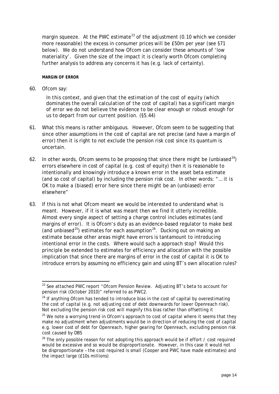margin squeeze. At the PWC estimate<sup>[23](#page-13-0)</sup> of the adjustment (0.10 which we consider more reasonable) the excess in consumer prices will be £50m per year (see §71 below). We do not understand how Ofcom can consider these amounts of 'low materiality'. Given the size of the impact it is clearly worth Ofcom completing further analysis to address any concerns it has (e.g. lack of certainty).

#### *MARGIN OF ERROR*

60. Ofcom say:

*In this context, and given that the estimation of the cost of equity (which dominates the overall calculation of the cost of capital) has a significant margin of error we do not believe the evidence to be clear enough or robust enough for us to depart from our current position. (§5.44)*

- 61. What this means is rather ambiguous. However, Ofcom seem to be suggesting that since other assumptions in the cost of capital are not precise (and have a margin of error) then it is right to not exclude the pension risk cost since its quantum is uncertain.
- 62. In other words, Ofcom seems to be proposing that since there might be (unbiased $^{24}$  $^{24}$  $^{24}$ ) errors elsewhere in cost of capital (e.g. cost of equity) then it is reasonable to intentionally and knowingly introduce a known error in the asset beta estimate (and so cost of capital) by including the pension risk cost. In other words: "… *it is OK to make a (biased) error here since there might be an (unbiased) error elsewhere*"
- 63. If this is not what Ofcom meant we would be interested to understand what is meant. However, if it is what was meant then we find it utterly incredible. Almost every single aspect of setting a charge control includes estimates (and margins of error). It is Ofcom's duty as an evidence-based regulator to make best (and unbiased<sup>25</sup>) estimates for each assumption<sup>[26](#page-13-3)</sup>. Ducking out on making an estimate because other areas might have errors is tantamount to introducing intentional error in the costs. Where would such a approach stop? Would this principle be extended to estimates for efficiency and allocation with the possible implication that since there are margins of error in the cost of capital it is OK to introduce errors by assuming no efficiency gain and using BT's own allocation rules?

<span id="page-13-0"></span><sup>&</sup>lt;sup>23</sup> See attached PWC report "Ofcom Pension Review. Adjusting BT's beta to account for pension risk (October 2010)" referred to as PWC2.

<span id="page-13-1"></span> $24$  If anything Ofcom has tended to introduce bias in the cost of capital by overestimating the cost of capital (e.g. not adjusting cost of debt downwards for lower Openreach risk). Not excluding the pension risk cost will magnify this bias rather than offsetting it

<span id="page-13-2"></span> $25$  We note a worrying trend in Ofcom's approach to cost of capital where it seems that they make no adjustment when adjustments would be in direction of reducing the cost of capital e.g. lower cost of debt for Openreach, higher gearing for Openreach, excluding pension risk cost caused by DBS

<span id="page-13-3"></span> $26$  The only possible reason for not adopting this approach would be if effort / cost required would be excessive and so would be disproportionate. However, in this case it would not be disproportionate – the cost required is small (Cooper and PWC have made estimates) and the impact large (£10s millions)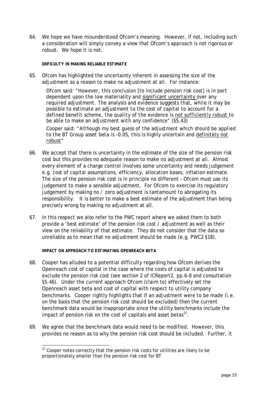64. We hope we have misunderstood Ofcom's meaning. However, if not, including such a consideration will simply convey a view that Ofcom's approach is not rigorous or robust. We hope it is not.

### *DIIFICULTY IN MAKING RELIABLE ESTIMATE*

65. Ofcom has highlighted the uncertainty inherent in assessing the size of the adjustment as a reason to make no adjustment at all. For instance:

Ofcom said: *"However, this conclusion* [to include pension risk cost] *is in part dependent upon the low materiality and significant uncertainty over any required adjustment. The analysis and evidence suggests that, while it may be possible to estimate an adjustment to the cost of capital to account for a defined benefit scheme, the quality of the evidence is not sufficiently robust to be able to make an adjustment with any confidence" (§5.43)*

Cooper said: *"Although my best guess of the adjustment which should be applied to the BT Group asset beta is -0.05, this is highly uncertain and definitely not robust "*

- 66. We accept that there is uncertainty in the estimate of the size of the pension risk cost but this provides no adequate reason to make no adjustment at all. Almost every element of a charge control involves some uncertainty and needs judgement e.g. cost of capital assumptions, efficiency, allocation bases, inflation estimate. The size of the pension risk cost is in principle no different – Ofcom must use its judgement to make a sensible adjustment. For Ofcom to exercise its regulatory judgement by making no / zero adjustment is tantamount to abrogating its responsibility. It is better to make a best estimate of the adjustment than being precisely wrong by making no adjustment at all.
- 67. In this respect we also refer to the PWC report where we asked them to both provide a 'best estimate' of the pension risk cost / adjustment as well as their view on the reliability of that estimate. They do not consider that the data so unreliable as to mean that no adjustment should be made (e.g. PWC2 §18).

## *IMPACT ON APPROACH TO ESTIMATING OPENREACH BETA*

- 68. Cooper has alluded to a potential difficulty regarding how Ofcom derives the Openreach cost of capital in the case where the costs of capital is adjusted to exclude the pension risk cost (see section 2 of ICReport2, pp.6-8 and consultation §5.46). Under the current approach Ofcom (claim to) effectively set the Openreach asset beta and cost of capital with respect to utility company benchmarks. Cooper rightly highlights that if an adjustment were to be made (i.e. on the basis that the pension risk cost should be excluded) then the current benchmark data would be inappropriate since the utility benchmarks include the impact of pension risk on the cost of capitals and asset betas $^{27}$  $^{27}$  $^{27}$ .
- <span id="page-14-0"></span>69. We agree that the benchmark data would need to be modified. However, this provides no reason as to why the pension risk cost should be included. Further, it

 $27$  Cooper notes correctly that the pension risk costs for utilities are likely to be proportionately smaller than the pension risk cost for BT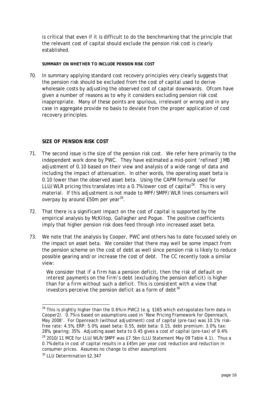is critical that even if it is difficult to do the benchmarking that the principle that the relevant cost of capital should exclude the pension risk cost is clearly established.

### *SUMMARY ON WHETHER TO INCLUDE PENSION RISK COST*

70. In summary applying standard cost recovery principles very clearly suggests that the pension risk should be excluded from the cost of capital used to derive wholesale costs by adjusting the observed cost of capital downwards. Ofcom have given a number of reasons as to why it considers excluding pension risk cost inappropriate. Many of these points are spurious, irrelevant or wrong and in any case in aggregate provide no basis to deviate from the proper application of cost recovery principles.

## *SIZE OF PENSION RISK COST*

- 71. The second issue is the size of the pension risk cost. We refer here primarily to the independent work done by PWC. They have estimated a mid-point 'refined' JMB adjustment of 0.10 based on their view and analysis of a wide range of data and including the impact of attenuation. In other words, the operating asset beta is 0.10 lower than the observed asset beta. Using the CAPM formula used for LLU/WLR pricing this translates into a 0.7% lower cost of capital<sup>[28](#page-15-0)</sup>. This is very material. If this adjustment is not made to MPF/SMPF/WLR lines consumers will overpay by around £50m per year<sup>[29](#page-15-1)</sup>.
- 72. That there is a significant impact on the cost of capital is supported by the empirical analysis by McKillop, Gallagher and Pogue. The positive coefficients imply that higher pension risk does feed through into increased asset beta.
- 73. We note that the analysis by Cooper, PWC and others has to date focussed solely on the impact on asset beta. We consider that there may well be some impact from the pension scheme on the cost of debt as well since pension risk is likely to reduce possible gearing and/or increase the cost of debt. The CC recently took a similar view:

*We consider that if a firm has a pension deficit, then the risk of default on interest payments on the firm's debt (excluding the pension deficit) is higher than for a firm without such a deficit. This is consistent with a view that investors perceive the pension deficit as a form of debt[30](#page-15-2)*

<span id="page-15-0"></span> $^{28}$  This is slightly higher than the 0.6% in PWC2 (e.g. §165 which extrapolates form data in Cooper2). 0.7% is based on assumptions used in 'New Pricing Framework for Openreach, May 2008'. For Openreach (without adjustment) cost of capital (pre-tax) was 10.1%: riskfree rate: 4.5%, ERP: 5.0%, asset beta: 0.55, debt beta: 0.15, debt premium: 3.0%, tax: 28%, gearing: 35%. Adjusting asset beta to 0.45 gives a cost of capital (pre-tax) of 9.4%

<span id="page-15-1"></span> $29$  2010/11 MCE for LLU/WLR/SMPF was £7.5bn (LLU Statement May 09 Table 4.1). Thus a 0.7% delta in cost of capital results in a £45m per year cost reduction and reduction in consumer prices. Assumes no change to other assumptions

<span id="page-15-2"></span><sup>&</sup>lt;sup>30</sup> LLU Determination §2.347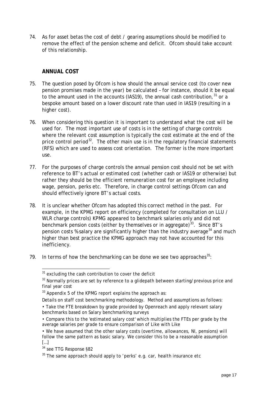74. As for asset betas the cost of debt / gearing assumptions should be modified to remove the effect of the pension scheme and deficit. Ofcom should take account of this relationship.

# **ANNUAL COST**

- 75. The question posed by Ofcom is how should the annual service cost (to cover new pension promises made in the year) be calculated – for instance, should it be equal to the amount used in the accounts (IAS19), the annual cash contribution,  $31$  or a bespoke amount based on a lower discount rate than used in IAS19 (resulting in a higher cost).
- 76. When considering this question it is important to understand what the cost will be used for. The most important use of costs is in the setting of charge controls where the relevant cost assumption is typically the cost estimate at the end of the price control period $^{32}$  $^{32}$  $^{32}$ . The other main use is in the regulatory financial statements (RFS) which are used to assess cost orientation. The former is the more important use.
- 77. For the purposes of charge controls the annual pension cost should not be set with reference to BT's actual or estimated cost (whether cash or IAS19 or otherwise) but rather they should be the efficient remuneration cost for an employee including wage, pension, perks etc. Therefore, in charge control settings Ofcom can and should effectively ignore BT's actual costs.
- 78. It is unclear whether Ofcom has adopted this correct method in the past. For example, in the KPMG report on efficiency (completed for consultation on LLU / WLR charge controls) KPMG appeared to benchmark salaries only and did not benchmark pension costs (either by themselves or in aggregate)<sup>[33](#page-16-0)</sup>. Since BT's pension costs % salary are significantly higher than the industry average<sup>[34](#page-16-0)</sup> and much higher than best practice the KPMG approach may not have accounted for this inefficiency.
- <span id="page-16-0"></span>79. In terms of how the benchmarking can be done we see two approaches $35$ .

Details on staff cost benchmarking methodology. Method and assumptions as follows:

 $31$  excluding the cash contribution to cover the deficit

 $32$  Normally prices are set by reference to a glidepath between starting/previous price and final year cost

 $33$  Appendix 5 of the KPMG report explains the approach as:

<sup>•</sup> Take the FTE breakdown by grade provided by Openreach and apply relevant salary benchmarks based on Salary benchmarking surveys

<sup>•</sup> Compare this to the 'estimated salary cost' which multiplies the FTEs per grade by the average salaries per grade to ensure comparison of Like with Like

<sup>•</sup> We have assumed that the other salary costs (overtime, allowances, NI, pensions) will follow the same pattern as basic salary. We consider this to be a reasonable assumption […]

<sup>34</sup> see TTG Response §82

 $35$  The same approach should apply to 'perks' e.g. car, health insurance etc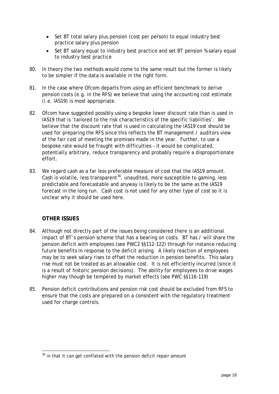- Set BT total salary plus pension (cost per person) to equal industry best practice salary plus pension
- Set BT salary equal to industry best practice and set BT pension % salary equal to industry best practice
- 80. In theory the two methods would come to the same result but the former is likely to be simpler if the data is available in the right form.
- 81. In the case where Ofcom departs from using an efficient benchmark to derive pension costs (e.g. in the RFS) we believe that using the accounting cost estimate (i.e. IAS19) is most appropriate.
- 82. Ofcom have suggested possibly using a bespoke lower discount rate than is used in IAS19 that is 'tailored to the risk characteristics of the specific liabilities'. We believe that the discount rate that is used in calculating the IAS19 cost should be used for preparing the RFS since this reflects the BT management / auditors view of the fair cost of meeting the promises made in the year. Further, to use a bespoke rate would be fraught with difficulties – it would be complicated, potentially arbitrary, reduce transparency and probably require a disproportionate effort.
- 83. We regard cash as a far less preferable measure of cost that the IAS19 amount. Cash is volatile, less transparent<sup>36</sup>, unaudited, more susceptible to gaming, less predictable and forecastable and anyway is likely to be the same as the IAS19 forecast in the long run. Cash cost is not used for any other type of cost so it is unclear why it should be used here.

# **OTHER ISSUES**

- 84. Although not directly part of the issues being considered there is an additional impact of BT's pension scheme that has a bearing on costs. BT has / will share the pension deficit with employees (see PWC2 §§112-122) through for instance reducing future benefits in response to the deficit arising. A likely reaction of employees may be to seek salary rises to offset the reduction in pension benefits. This salary rise must not be treated as an allowable cost. It is not efficiently incurred (since it is a result of historic pension decisions). The ability for employees to drive wages higher may though be tempered by market effects (see PWC §§116-119)
- 85. Pension deficit contributions and pension risk cost should be excluded from RFS to ensure that the costs are prepared on a consistent with the regulatory treatment used for charge controls.

<span id="page-17-0"></span> $36$  in that it can get conflated with the pension deficit repair amount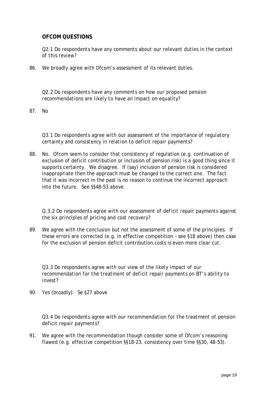# **OFCOM QUESTIONS**

*Q2.1 Do respondents have any comments about our relevant duties in the context of this review?*

86. We broadly agree with Ofcom's assessment of its relevant duties.

*Q2.2 Do respondents have any comments on how our proposed pension recommendations are likely to have an impact on equality?*

87. No

*Q3.1 Do respondents agree with our assessment of the importance of regulatory certainty and consistency in relation to deficit repair payments?*

88. No. Ofcom seem to consider that consistency of regulation (e.g. continuation of exclusion of deficit contribution or inclusion of pension risk) is a good thing since it supports certainty. We disagree. If (say) inclusion of pension risk is considered inappropriate then the approach must be changed to the correct one. The fact that it was incorrect in the past is no reason to continue the incorrect approach into the future. See §§48-53 above

*Q.3.2 Do respondents agree with our assessment of deficit repair payments against the six principles of pricing and cost recovery?*

89. We agree with the conclusion but not the assessment of some of the principles. If these errors are corrected (e.g. in effective competition – see §18 above) then case for the exclusion of pension deficit contribution costs is even more clear cut.

*Q3.3 Do respondents agree with our view of the likely impact of our recommendation for the treatment of deficit repair payments on BT's ability to invest?*

90. Yes (broadly). Se §27 above

*Q3.4 Do respondents agree with our recommendation for the treatment of pension deficit repair payments?*

91. We agree with the recommendation though consider some of Ofcom's reasoning flawed (e.g. effective competition §§18-23, consistency over time §§30, 48-53).